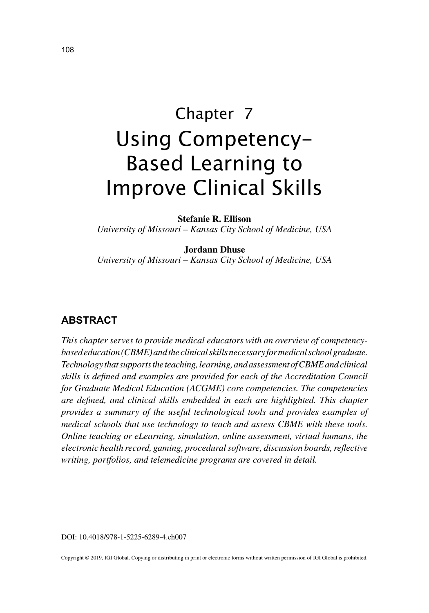# Chapter 7 Using Competency-Based Learning to Improve Clinical Skills

**Stefanie R. Ellison**

*University of Missouri – Kansas City School of Medicine, USA*

#### **Jordann Dhuse**

*University of Missouri – Kansas City School of Medicine, USA*

#### **ABSTRACT**

*This chapter serves to provide medical educators with an overview of competencybased education (CBME) and the clinical skills necessary for medical school graduate. Technology that supports the teaching, learning, and assessment of CBME and clinical skills is defined and examples are provided for each of the Accreditation Council for Graduate Medical Education (ACGME) core competencies. The competencies are defined, and clinical skills embedded in each are highlighted. This chapter provides a summary of the useful technological tools and provides examples of medical schools that use technology to teach and assess CBME with these tools. Online teaching or eLearning, simulation, online assessment, virtual humans, the electronic health record, gaming, procedural software, discussion boards, reflective writing, portfolios, and telemedicine programs are covered in detail.*

DOI: 10.4018/978-1-5225-6289-4.ch007

Copyright © 2019, IGI Global. Copying or distributing in print or electronic forms without written permission of IGI Global is prohibited.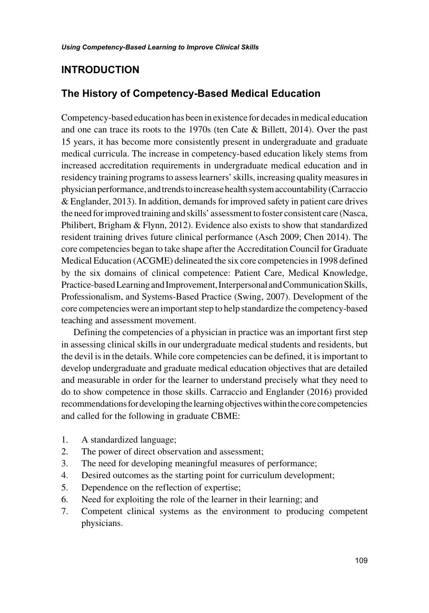## **INTRODUCTION**

#### **The History of Competency-Based Medical Education**

Competency-based education has been in existence for decades in medical education and one can trace its roots to the 1970s (ten Cate & Billett, 2014). Over the past 15 years, it has become more consistently present in undergraduate and graduate medical curricula. The increase in competency-based education likely stems from increased accreditation requirements in undergraduate medical education and in residency training programs to assess learners' skills, increasing quality measures in physician performance, and trends to increase health system accountability (Carraccio & Englander, 2013). In addition, demands for improved safety in patient care drives the need for improved training and skills' assessment to foster consistent care (Nasca, Philibert, Brigham & Flynn, 2012). Evidence also exists to show that standardized resident training drives future clinical performance (Asch 2009; Chen 2014). The core competencies began to take shape after the Accreditation Council for Graduate Medical Education (ACGME) delineated the six core competencies in 1998 defined by the six domains of clinical competence: Patient Care, Medical Knowledge, Practice-based Learning and Improvement, Interpersonal and Communication Skills, Professionalism, and Systems-Based Practice (Swing, 2007). Development of the core competencies were an important step to help standardize the competency-based teaching and assessment movement.

Defining the competencies of a physician in practice was an important first step in assessing clinical skills in our undergraduate medical students and residents, but the devil is in the details. While core competencies can be defined, it is important to develop undergraduate and graduate medical education objectives that are detailed and measurable in order for the learner to understand precisely what they need to do to show competence in those skills. Carraccio and Englander (2016) provided recommendations for developing the learning objectives within the core competencies and called for the following in graduate CBME:

- 1. A standardized language;
- 2. The power of direct observation and assessment;
- 3. The need for developing meaningful measures of performance;
- 4. Desired outcomes as the starting point for curriculum development;
- 5. Dependence on the reflection of expertise;
- 6. Need for exploiting the role of the learner in their learning; and
- 7. Competent clinical systems as the environment to producing competent physicians.